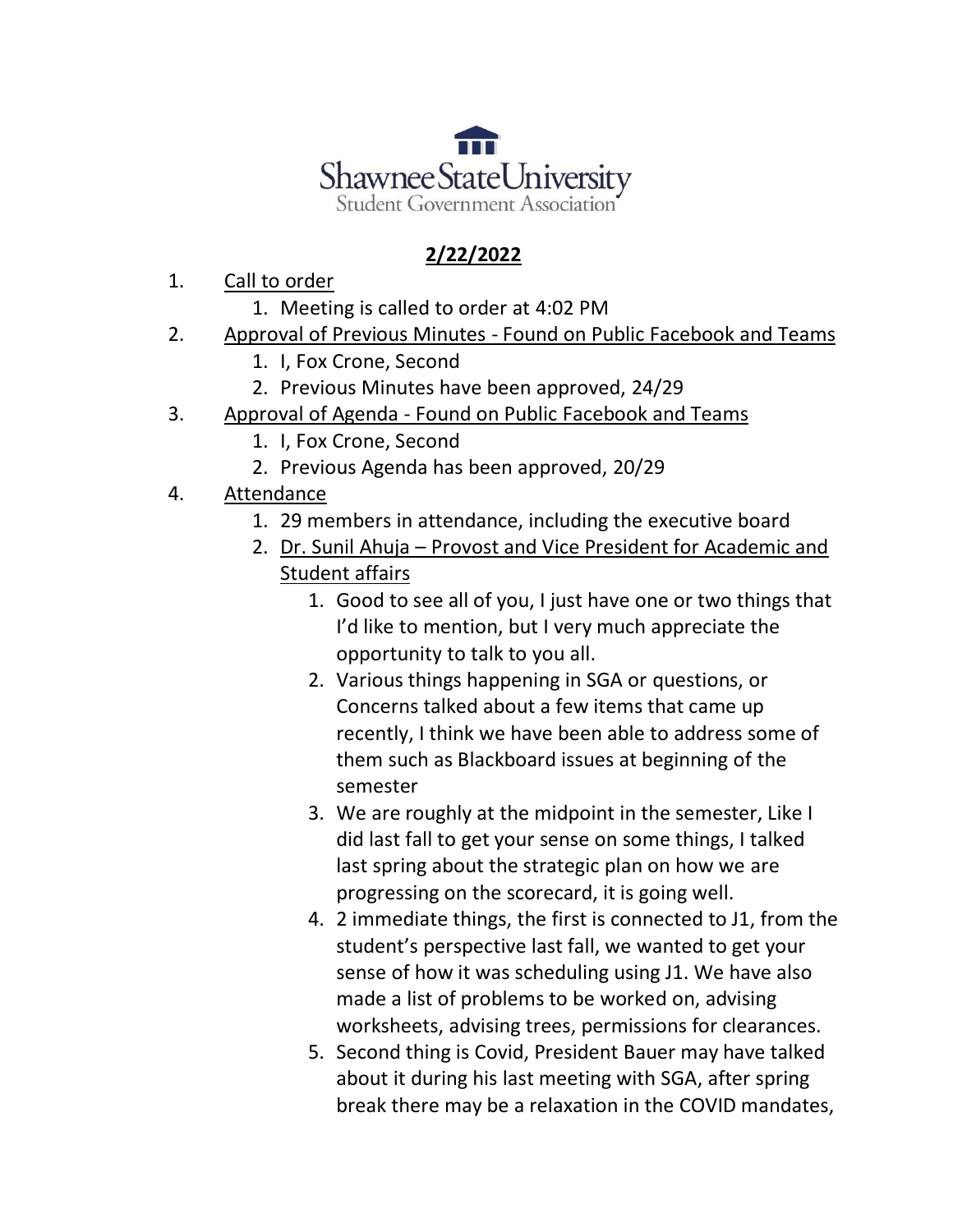

## **2/22/2022**

- 1. Call to order
	- 1. Meeting is called to order at 4:02 PM
- 2. Approval of Previous Minutes Found on Public Facebook and Teams
	- 1. I, Fox Crone, Second
	- 2. Previous Minutes have been approved, 24/29
- 3. Approval of Agenda Found on Public Facebook and Teams
	- 1. I, Fox Crone, Second
	- 2. Previous Agenda has been approved, 20/29
- 4. Attendance
	- 1. 29 members in attendance, including the executive board
	- 2. Dr. Sunil Ahuja Provost and Vice President for Academic and Student affairs
		- 1. Good to see all of you, I just have one or two things that I'd like to mention, but I very much appreciate the opportunity to talk to you all.
		- 2. Various things happening in SGA or questions, or Concerns talked about a few items that came up recently, I think we have been able to address some of them such as Blackboard issues at beginning of the semester
		- 3. We are roughly at the midpoint in the semester, Like I did last fall to get your sense on some things, I talked last spring about the strategic plan on how we are progressing on the scorecard, it is going well.
		- 4. 2 immediate things, the first is connected to J1, from the student's perspective last fall, we wanted to get your sense of how it was scheduling using J1. We have also made a list of problems to be worked on, advising worksheets, advising trees, permissions for clearances.
		- 5. Second thing is Covid, President Bauer may have talked about it during his last meeting with SGA, after spring break there may be a relaxation in the COVID mandates,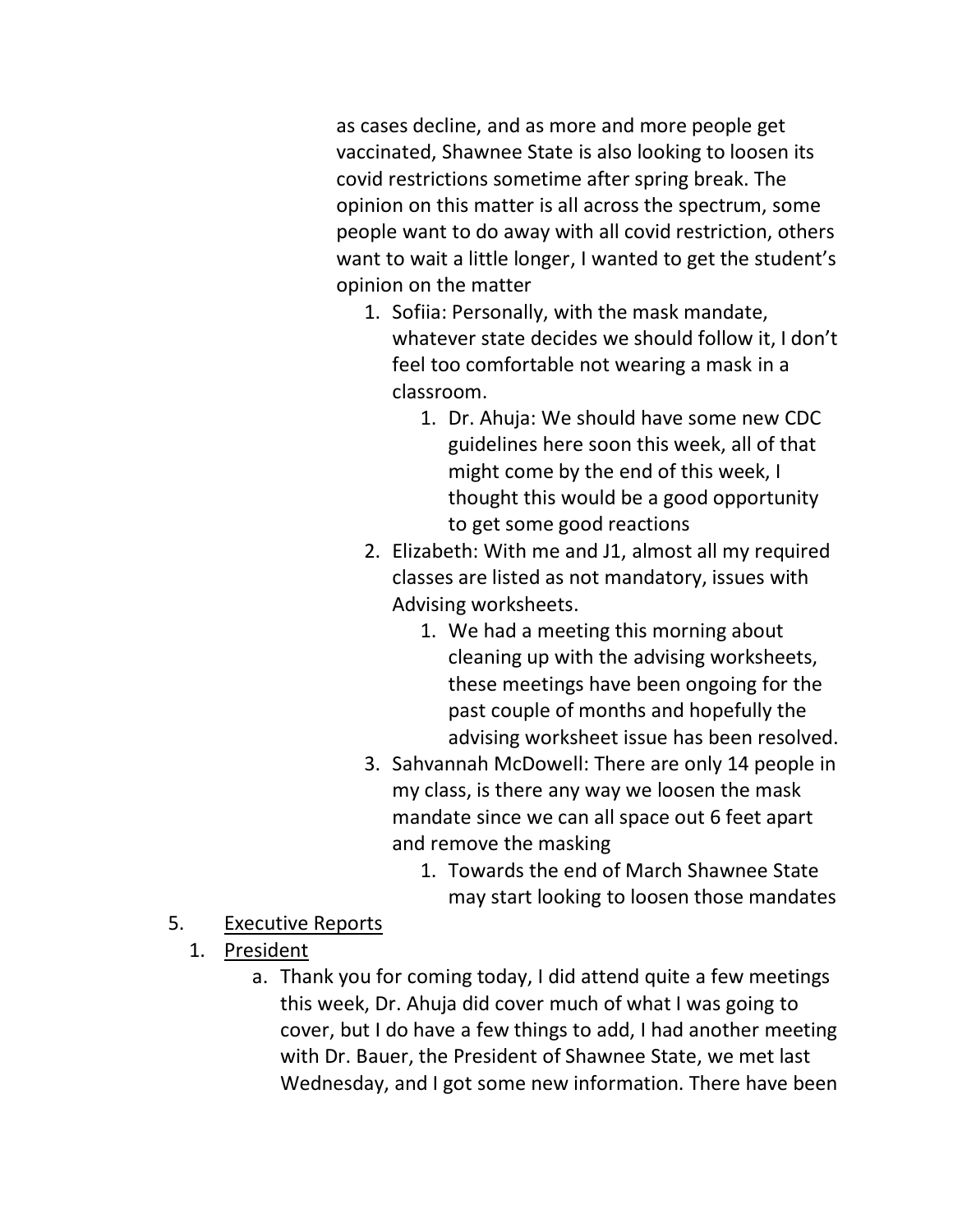as cases decline, and as more and more people get vaccinated, Shawnee State is also looking to loosen its covid restrictions sometime after spring break. The opinion on this matter is all across the spectrum, some people want to do away with all covid restriction, others want to wait a little longer, I wanted to get the student's opinion on the matter

- 1. Sofiia: Personally, with the mask mandate, whatever state decides we should follow it, I don't feel too comfortable not wearing a mask in a classroom.
	- 1. Dr. Ahuja: We should have some new CDC guidelines here soon this week, all of that might come by the end of this week, I thought this would be a good opportunity to get some good reactions
- 2. Elizabeth: With me and J1, almost all my required classes are listed as not mandatory, issues with Advising worksheets.
	- 1. We had a meeting this morning about cleaning up with the advising worksheets, these meetings have been ongoing for the past couple of months and hopefully the advising worksheet issue has been resolved.
- 3. Sahvannah McDowell: There are only 14 people in my class, is there any way we loosen the mask mandate since we can all space out 6 feet apart and remove the masking
	- 1. Towards the end of March Shawnee State may start looking to loosen those mandates
- 5. Executive Reports
	- 1. President
		- a. Thank you for coming today, I did attend quite a few meetings this week, Dr. Ahuja did cover much of what I was going to cover, but I do have a few things to add, I had another meeting with Dr. Bauer, the President of Shawnee State, we met last Wednesday, and I got some new information. There have been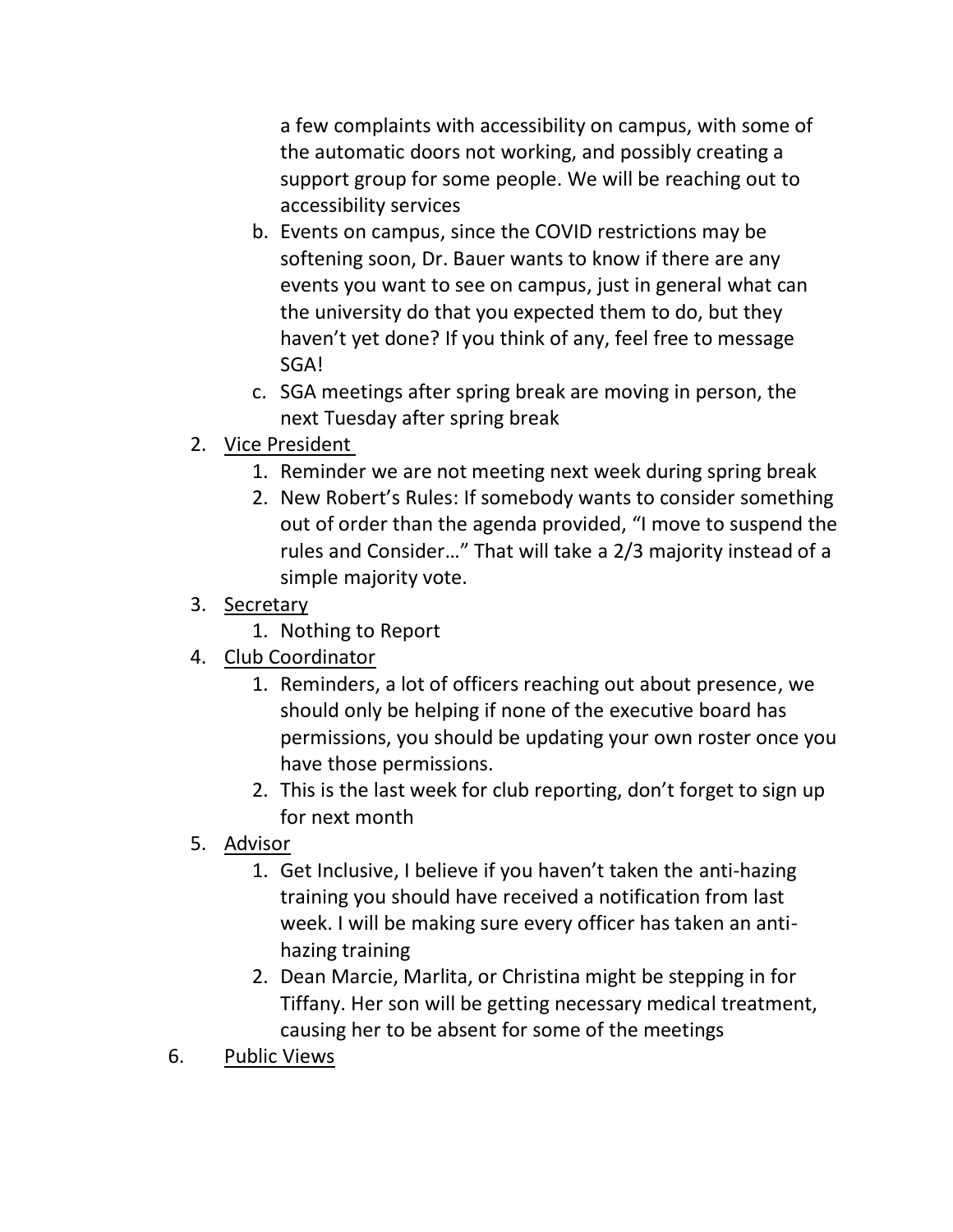a few complaints with accessibility on campus, with some of the automatic doors not working, and possibly creating a support group for some people. We will be reaching out to accessibility services

- b. Events on campus, since the COVID restrictions may be softening soon, Dr. Bauer wants to know if there are any events you want to see on campus, just in general what can the university do that you expected them to do, but they haven't yet done? If you think of any, feel free to message SGA!
- c. SGA meetings after spring break are moving in person, the next Tuesday after spring break
- 2. Vice President
	- 1. Reminder we are not meeting next week during spring break
	- 2. New Robert's Rules: If somebody wants to consider something out of order than the agenda provided, "I move to suspend the rules and Consider…" That will take a 2/3 majority instead of a simple majority vote.
- 3. Secretary
	- 1. Nothing to Report
- 4. Club Coordinator
	- 1. Reminders, a lot of officers reaching out about presence, we should only be helping if none of the executive board has permissions, you should be updating your own roster once you have those permissions.
	- 2. This is the last week for club reporting, don't forget to sign up for next month
- 5. Advisor
	- 1. Get Inclusive, I believe if you haven't taken the anti-hazing training you should have received a notification from last week. I will be making sure every officer has taken an antihazing training
	- 2. Dean Marcie, Marlita, or Christina might be stepping in for Tiffany. Her son will be getting necessary medical treatment, causing her to be absent for some of the meetings
- 6. Public Views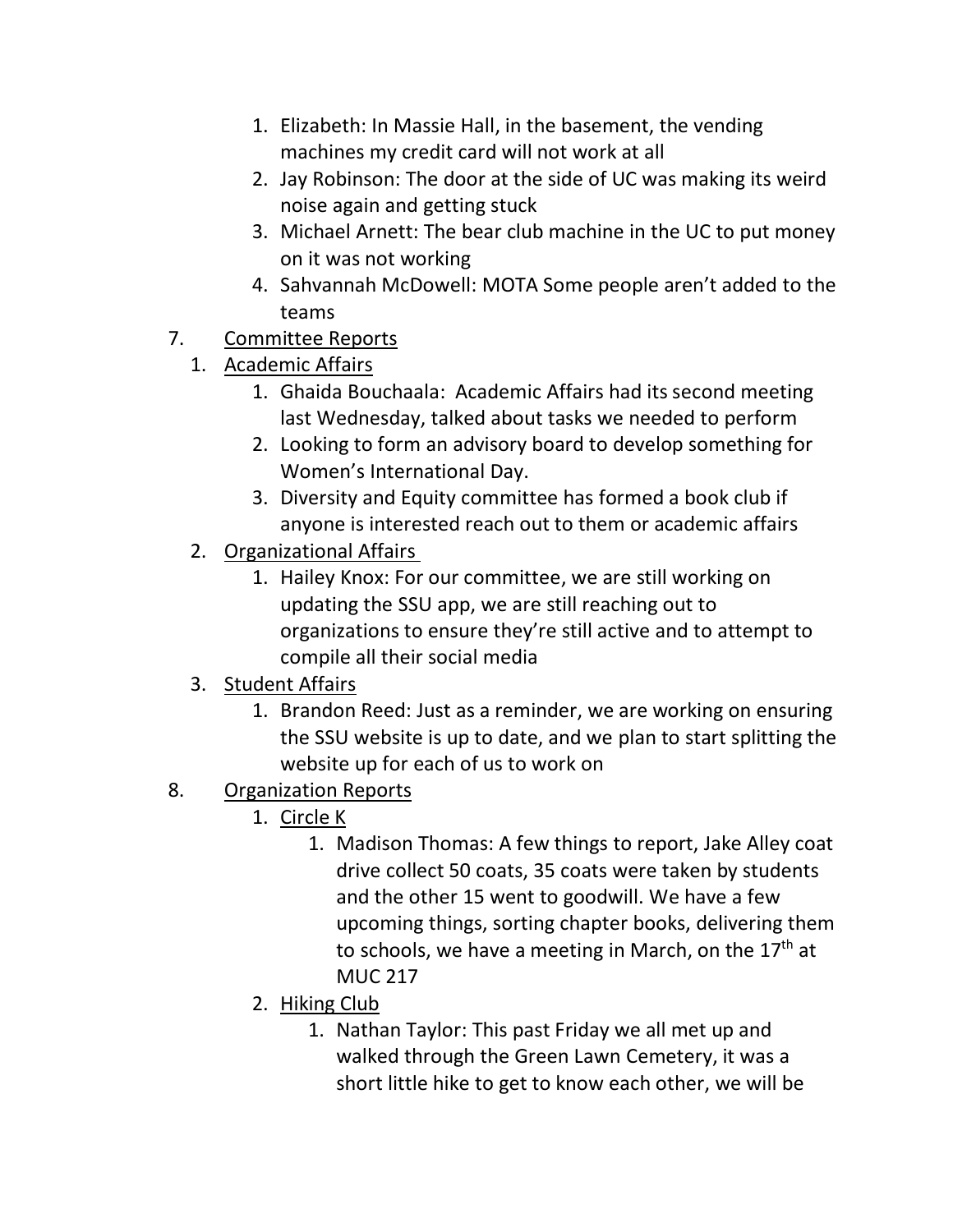- 1. Elizabeth: In Massie Hall, in the basement, the vending machines my credit card will not work at all
- 2. Jay Robinson: The door at the side of UC was making its weird noise again and getting stuck
- 3. Michael Arnett: The bear club machine in the UC to put money on it was not working
- 4. Sahvannah McDowell: MOTA Some people aren't added to the teams
- 7. Committee Reports
	- 1. Academic Affairs
		- 1. Ghaida Bouchaala: Academic Affairs had its second meeting last Wednesday, talked about tasks we needed to perform
		- 2. Looking to form an advisory board to develop something for Women's International Day.
		- 3. Diversity and Equity committee has formed a book club if anyone is interested reach out to them or academic affairs
	- 2. Organizational Affairs
		- 1. Hailey Knox: For our committee, we are still working on updating the SSU app, we are still reaching out to organizations to ensure they're still active and to attempt to compile all their social media
	- 3. Student Affairs
		- 1. Brandon Reed: Just as a reminder, we are working on ensuring the SSU website is up to date, and we plan to start splitting the website up for each of us to work on
- 8. Organization Reports
	- 1. Circle K
		- 1. Madison Thomas: A few things to report, Jake Alley coat drive collect 50 coats, 35 coats were taken by students and the other 15 went to goodwill. We have a few upcoming things, sorting chapter books, delivering them to schools, we have a meeting in March, on the  $17<sup>th</sup>$  at MUC 217
	- 2. Hiking Club
		- 1. Nathan Taylor: This past Friday we all met up and walked through the Green Lawn Cemetery, it was a short little hike to get to know each other, we will be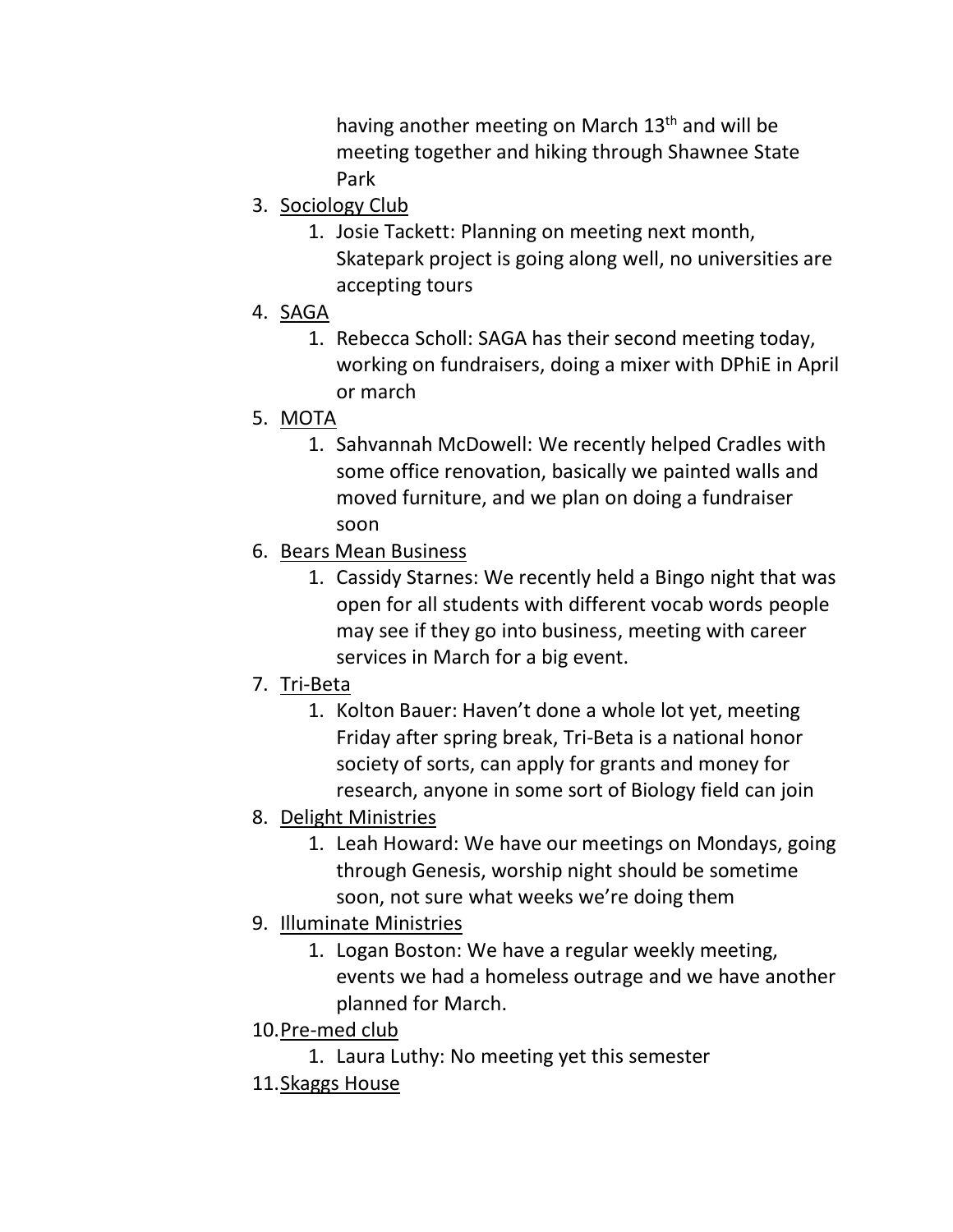having another meeting on March 13<sup>th</sup> and will be meeting together and hiking through Shawnee State Park

- 3. Sociology Club
	- 1. Josie Tackett: Planning on meeting next month, Skatepark project is going along well, no universities are accepting tours
- 4. SAGA
	- 1. Rebecca Scholl: SAGA has their second meeting today, working on fundraisers, doing a mixer with DPhiE in April or march
- 5. MOTA
	- 1. Sahvannah McDowell: We recently helped Cradles with some office renovation, basically we painted walls and moved furniture, and we plan on doing a fundraiser soon
- 6. Bears Mean Business
	- 1. Cassidy Starnes: We recently held a Bingo night that was open for all students with different vocab words people may see if they go into business, meeting with career services in March for a big event.
- 7. Tri-Beta
	- 1. Kolton Bauer: Haven't done a whole lot yet, meeting Friday after spring break, Tri-Beta is a national honor society of sorts, can apply for grants and money for research, anyone in some sort of Biology field can join
- 8. Delight Ministries
	- 1. Leah Howard: We have our meetings on Mondays, going through Genesis, worship night should be sometime soon, not sure what weeks we're doing them
- 9. Illuminate Ministries
	- 1. Logan Boston: We have a regular weekly meeting, events we had a homeless outrage and we have another planned for March.
- 10.Pre-med club
	- 1. Laura Luthy: No meeting yet this semester
- 11.Skaggs House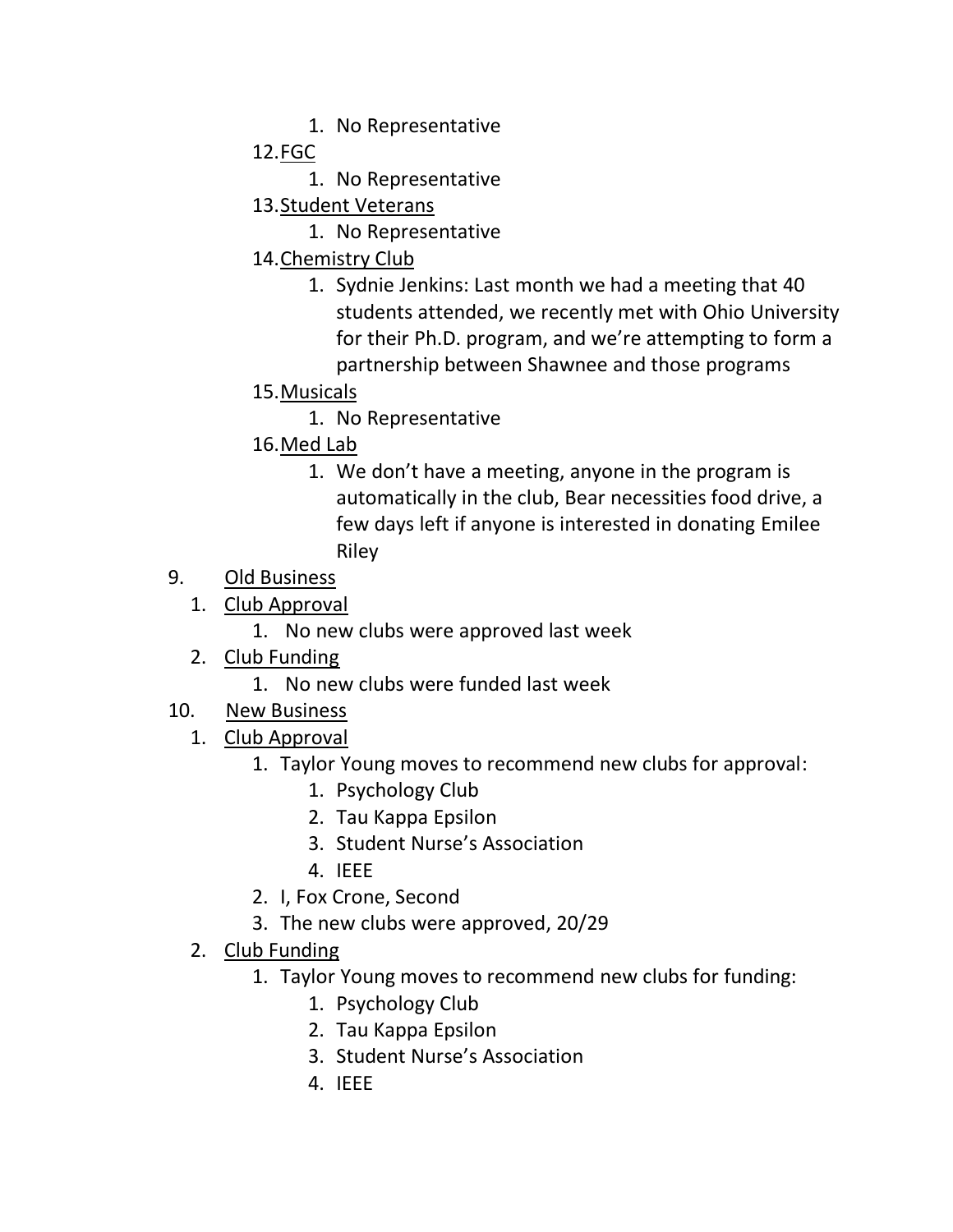1. No Representative

12.FGC

- 1. No Representative
- 13.Student Veterans
	- 1. No Representative
- 14.Chemistry Club
	- 1. Sydnie Jenkins: Last month we had a meeting that 40 students attended, we recently met with Ohio University for their Ph.D. program, and we're attempting to form a partnership between Shawnee and those programs
- 15.Musicals
	- 1. No Representative
- 16.Med Lab
	- 1. We don't have a meeting, anyone in the program is automatically in the club, Bear necessities food drive, a few days left if anyone is interested in donating Emilee Riley
- 9. Old Business
	- 1. Club Approval
		- 1. No new clubs were approved last week
	- 2. Club Funding
		- 1. No new clubs were funded last week
- 10. New Business
	- 1. Club Approval
		- 1. Taylor Young moves to recommend new clubs for approval:
			- 1. Psychology Club
			- 2. Tau Kappa Epsilon
			- 3. Student Nurse's Association
			- 4. IEEE
		- 2. I, Fox Crone, Second
		- 3. The new clubs were approved, 20/29
	- 2. Club Funding
		- 1. Taylor Young moves to recommend new clubs for funding:
			- 1. Psychology Club
			- 2. Tau Kappa Epsilon
			- 3. Student Nurse's Association
			- 4. IEEE